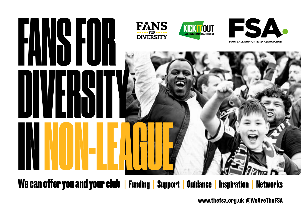

**We can offer you and your club | Funding | Support | Guidance | Inspiration | Networks**

**www.thefsa.org.uk @WeAreTheFSA**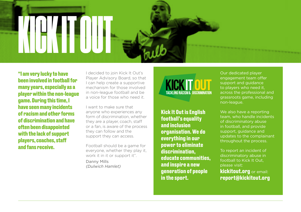

**"I am very lucky to have been involved in football for many years, especially as a player within the non-league game. During this time, I have seen many incidents of racism and other forms of discrimination and have often been disappointed with the lack of support players, coaches, staff and fans receive.** 

I decided to join Kick It Out's Player Advisory Board, so that I can help create a supportive mechanism for those involved in non-league football and be a voice for those who need it.

I want to make sure that anyone who experiences any form of discrimination, whether they are a player, coach, staff or a fan, is aware of the process they can follow and the support they can access.

Football should be a game for everyone, whether they play it, work it in it or support it".

Danny Mills *(Dulwich Hamlet)*



**Kick It Out is English football's equality and inclusion organisation. We do everything in our power to eliminate discrimination, educate communities, and inspire a new generation of people in the sport.**

Our dedicated player engagement team offer support and guidance to players who need it, across the professional and grassroots game, including non-league.

We also have a reporting team, who handle incidents of discriminatory abuse in football, and provide support, guidance and updates to the complainant throughout the process.

To report an incident of discriminatory abuse in football to Kick It Out, please visit:

**kickitout.org** or email: **report@kickitout.org**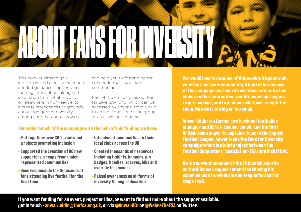This booklet aims to give individuals and clubs some much needed guidance, support and funding information, along with inspiration from what is going on elsewhere in non-league, to increase attendances at grounds, encourage greater diversity among your matchday crowds,

and help you to foster a better connection with your local communities.

ABOUT FANS FOR DIVERSITY

Part of the campaign is our Fans for Diversity fund, which can be accessed by anyone, from a club to an individual fan or fan group at any level of the game.

### **Since the launch of the campaign with the help of this funding we have:**

- **Put together over 200 events and projects promoting inclusion**
- **Supported the creation of 80 new supporters' groups from underrepresented communities**
- **Been responsible for thousands of fans attending live football for the first time**
- **Introduced communities to their local clubs across the UK**
- **Created thousands of resources including t-shirts, banners, pin badges, hoodies, scarves, bibs and even air fresheners**
- **Raised awareness on all forms of diversity through education**

**We would love to do some of this work with your club, your fans and your community. A key to the success of the campaign has been its creative nature. No two clubs are the same and we would encourage anyone to get involved, and to produce whatever is right for them. No idea is too big or too small.**

**Anwar Uddin is a former professional footballer, manager and UEFA A-Licence coach, and the first British Asian player to captain a team in the English Football League. Anwar leads the Fans for Diversity campaign which is a joint project between the Football Supporters' Association (FSA) and Kick It Out.** 

**He is a current member of the FA Council and sits on the Alliance Leagues committee sharing his experiences of working in non-league football at steps 1 to 5.**

**If you want funding for an event, project or idea, or want to find out more about the support available, get in touch - anwar.uddin@thefsa.org.uk, or via @AnwarU01 or @WeAreTheFSA on Twitter.**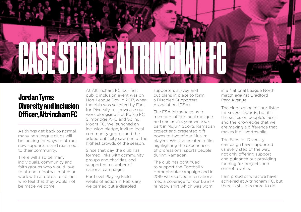

# **Jordan Tyms: Diversity and Inclusion Officer, Altrincham FC**

As things get back to normal many non-league clubs will be looking for ways to attract new supporters and reach out to their community.

There will also be many individuals, community and faith groups who would love to attend a football match or work with a football club, but who feel that they would not be made welcome.

At Altrincham FC, our first public inclusion event was on Non-League Day in 2017, when the club was selected by Fans for Diversity to showcase our work alongside Met Police FC, Slimbridge AFC and Solihull Moors FC. We launched an inclusion pledge, invited local community groups and the added publicity saw one of the highest crowds of the season.

Since that day the club has formed links with community groups and charities, and supported a number of national campaigns.

For Level Playing Field weeks of action in February, we carried out a disabled

supporters survey and put plans in place to form a Disabled Supporters' Association (DSA).

The FSA introduced us to members of our local mosque, and earlier this year we took part in Nujum Sports Ramadan project and presented gift boxes to two of our Muslim players. We also created a film highlighting the experiences of professional sports people during Ramadan.

The club has continued to support the Football v Homophobia campaign and in 2019 we received international media coverage for our LGBT+ rainbow shirt which was worn

in a National League North match against Bradford Park Avenue.

The club has been shortlisted for several awards, but it's the smiles on people's faces and the knowledge that we are making a difference that makes it all worthwhile.

The Fans for Diversity campaign have supported us every step of the way, not only offering support and guidance but providing funding for projects and one-off events.

I am proud of what we have achieved at Altrincham FC, but there is still lots more to do.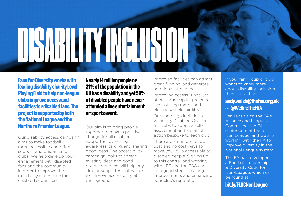DISABILITY INCLUSION

**Fans for Diversity works with leading disability charity Level Playing Field to help non-league clubs improve access and facilities for disabled fans. The project is supported by both the National League and the Northern Premier League.**

Our disability access campaign aims to make football more accessible and offers support and guidance to clubs. We help develop your engagement with disabled fans and the community in order to improve the matchday experience for disabled supporters.

**Nearly 14 million people or 21% of the population in the UK has a disability and yet 50% of disabled people have never attended a live entertainment or sports event.**

Our aim is to bring people together to make a positive change for all disabled supporters by raising awareness, talking, and sharing good ideas. The accessibility campaign looks to spread existing ideas and good practice, and we will help any club or supporter that wishes to improve accessibility at their ground.

Improved facilities can attract grant funding, and generate additional attendance.

Improving access is not just about large capital projects like installing ramps and electric wheelchair lifts.

Our campaign includes a voluntary Disabled Charter for clubs to adopt, a selfassessment and a plan of action bespoke to each club.

There are a number of low cost and no cost ways to make your club accessible to disabled people. Signing up to this charter and working with LPF and the FSA can be a good step in making improvements and enhancing your club's reputation.

If your fan group or club wants to know more about disability inclusion then contact us:

### **andy.walsh@thefsa.org.uk** or **@WeAreTheFSA**

Fan reps sit on the FA's Alliance and Leagues Committee, the FA's senior committee for Non League, and we are working with the FA to improve diversity in the National League system.

The FA has developed a Football Leadership & Diversity Code for Non-League, which can be found at:

**bit.ly/FLDCNonLeague**